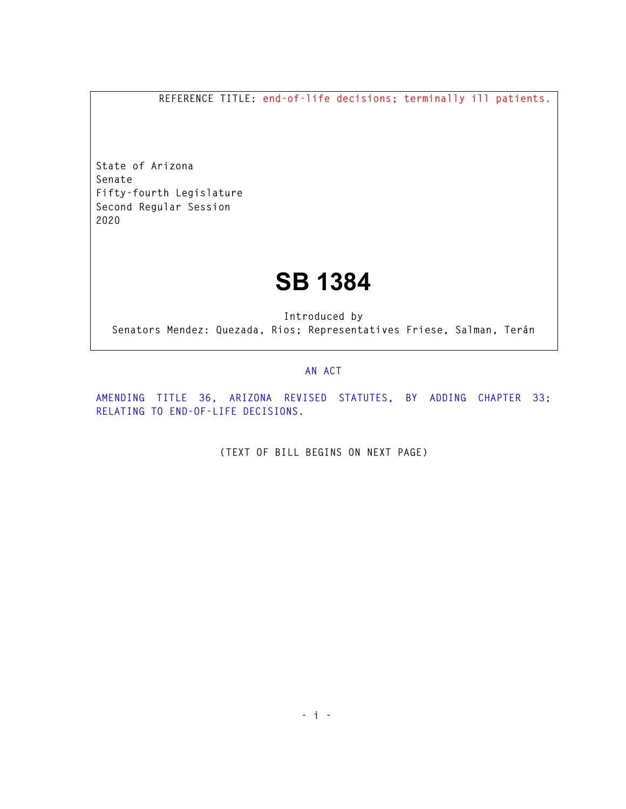**REFERENCE TITLE: end-of-life decisions; terminally ill patients.** 

**State of Arizona Senate Fifty-fourth Legislature Second Regular Session 2020** 

## **SB 1384**

**Introduced by Senators Mendez: Quezada, Rios; Representatives Friese, Salman, Terán** 

## **AN ACT**

**AMENDING TITLE 36, ARIZONA REVISED STATUTES, BY ADDING CHAPTER 33; RELATING TO END-OF-LIFE DECISIONS.** 

**(TEXT OF BILL BEGINS ON NEXT PAGE)**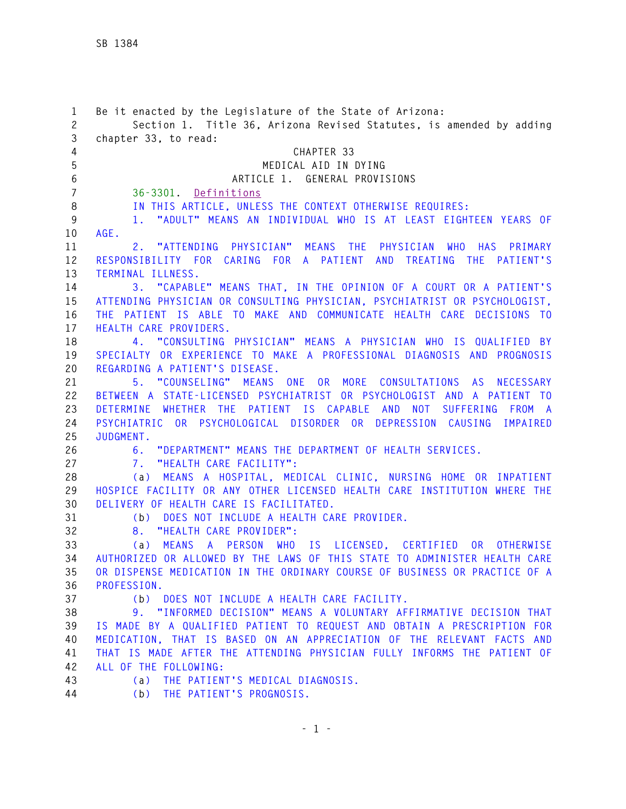| $\mathbf{1}$   | Be it enacted by the Legislature of the State of Arizona:                                                                                       |
|----------------|-------------------------------------------------------------------------------------------------------------------------------------------------|
| $\mathbf{2}$   | Section 1. Title 36, Arizona Revised Statutes, is amended by adding                                                                             |
| 3              | chapter 33, to read:                                                                                                                            |
| $\overline{4}$ | CHAPTER 33                                                                                                                                      |
| 5              | MEDICAL AID IN DYING                                                                                                                            |
| 6              | ARTICLE 1. GENERAL PROVISIONS                                                                                                                   |
| $\overline{7}$ | 36-3301. Definitions                                                                                                                            |
| 8              | IN THIS ARTICLE, UNLESS THE CONTEXT OTHERWISE REQUIRES:                                                                                         |
| 9              | 1. "ADULT" MEANS AN INDIVIDUAL WHO IS AT LEAST EIGHTEEN YEARS OF                                                                                |
| 10             | AGE.                                                                                                                                            |
| 11             | 2. "ATTENDING PHYSICIAN" MEANS THE PHYSICIAN WHO HAS PRIMARY<br>RESPONSIBILITY FOR CARING FOR A PATIENT AND TREATING THE PATIENT'S              |
| 12             |                                                                                                                                                 |
| 13<br>14       | TERMINAL ILLNESS.                                                                                                                               |
| 15             | 3. "CAPABLE" MEANS THAT, IN THE OPINION OF A COURT OR A PATIENT'S<br>ATTENDING PHYSICIAN OR CONSULTING PHYSICIAN, PSYCHIATRIST OR PSYCHOLOGIST, |
| 16             | THE PATIENT IS ABLE TO MAKE AND COMMUNICATE HEALTH CARE DECISIONS TO                                                                            |
| 17             | HEALTH CARE PROVIDERS.                                                                                                                          |
| 18             | 4. "CONSULTING PHYSICIAN" MEANS A PHYSICIAN WHO IS QUALIFIED BY                                                                                 |
| 19             | SPECIALTY OR EXPERIENCE TO MAKE A PROFESSIONAL DIAGNOSIS AND PROGNOSIS                                                                          |
| 20             | REGARDING A PATIENT'S DISEASE.                                                                                                                  |
| 21             | 5. "COUNSELING" MEANS ONE OR MORE CONSULTATIONS AS NECESSARY                                                                                    |
| 22             | BETWEEN A STATE-LICENSED PSYCHIATRIST OR PSYCHOLOGIST AND A PATIENT TO                                                                          |
| 23             | DETERMINE WHETHER THE PATIENT IS CAPABLE AND NOT SUFFERING<br>FROM A                                                                            |
| 24             | PSYCHIATRIC OR PSYCHOLOGICAL DISORDER OR DEPRESSION CAUSING IMPAIRED                                                                            |
| 25             | JUDGMENT.                                                                                                                                       |
| 26             | "DEPARTMENT" MEANS THE DEPARTMENT OF HEALTH SERVICES.<br>6.                                                                                     |
| 27             | 7. "HEALTH CARE FACILITY":                                                                                                                      |
| 28             | (a) MEANS A HOSPITAL, MEDICAL CLINIC, NURSING HOME OR INPATIENT                                                                                 |
| 29             | HOSPICE FACILITY OR ANY OTHER LICENSED HEALTH CARE INSTITUTION WHERE THE                                                                        |
| 30             | DELIVERY OF HEALTH CARE IS FACILITATED.                                                                                                         |
| 31             | DOES NOT INCLUDE A HEALTH CARE PROVIDER.<br>(b)                                                                                                 |
| 32             | "HEALTH CARE PROVIDER":<br>8.                                                                                                                   |
| 33             | MEANS A PERSON WHO IS LICENSED, CERTIFIED<br><b>OR</b><br><b>OTHERWISE</b><br>(a)                                                               |
| 34             | AUTHORIZED OR ALLOWED BY THE LAWS OF THIS STATE TO ADMINISTER HEALTH CARE                                                                       |
| 35             | OR DISPENSE MEDICATION IN THE ORDINARY COURSE OF BUSINESS OR PRACTICE OF A                                                                      |
| 36             | PROFESSION.                                                                                                                                     |
| 37             | (b) DOES NOT INCLUDE A HEALTH CARE FACILITY.                                                                                                    |
| 38             | 9. "INFORMED DECISION" MEANS A VOLUNTARY AFFIRMATIVE DECISION THAT                                                                              |
| 39             | IS MADE BY A QUALIFIED PATIENT TO REQUEST AND OBTAIN A PRESCRIPTION FOR                                                                         |
| 40             | MEDICATION, THAT IS BASED ON AN APPRECIATION OF THE RELEVANT FACTS AND                                                                          |
| 41             | THAT IS MADE AFTER THE ATTENDING PHYSICIAN FULLY INFORMS THE PATIENT OF                                                                         |
| 42             | ALL OF THE FOLLOWING:                                                                                                                           |
| 43             | (a) THE PATIENT'S MEDICAL DIAGNOSIS.                                                                                                            |
| 44             | (b) THE PATIENT'S PROGNOSIS.                                                                                                                    |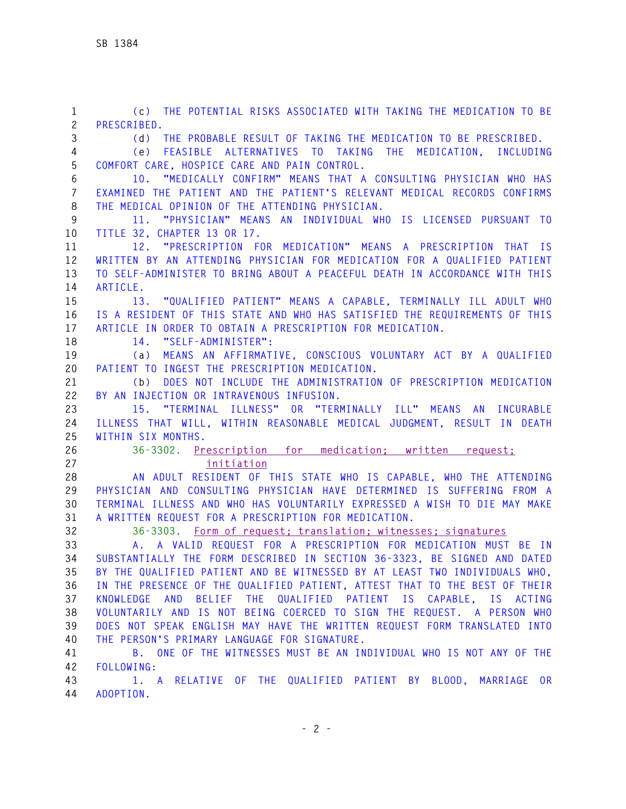**1 (c) THE POTENTIAL RISKS ASSOCIATED WITH TAKING THE MEDICATION TO BE 2 PRESCRIBED. 3 (d) THE PROBABLE RESULT OF TAKING THE MEDICATION TO BE PRESCRIBED. 4 (e) FEASIBLE ALTERNATIVES TO TAKING THE MEDICATION, INCLUDING 5 COMFORT CARE, HOSPICE CARE AND PAIN CONTROL. 6 10. "MEDICALLY CONFIRM" MEANS THAT A CONSULTING PHYSICIAN WHO HAS 7 EXAMINED THE PATIENT AND THE PATIENT'S RELEVANT MEDICAL RECORDS CONFIRMS 8 THE MEDICAL OPINION OF THE ATTENDING PHYSICIAN. 9 11. "PHYSICIAN" MEANS AN INDIVIDUAL WHO IS LICENSED PURSUANT TO 10 TITLE 32, CHAPTER 13 OR 17. 11 12. "PRESCRIPTION FOR MEDICATION" MEANS A PRESCRIPTION THAT IS 12 WRITTEN BY AN ATTENDING PHYSICIAN FOR MEDICATION FOR A QUALIFIED PATIENT 13 TO SELF-ADMINISTER TO BRING ABOUT A PEACEFUL DEATH IN ACCORDANCE WITH THIS 14 ARTICLE. 15 13. "QUALIFIED PATIENT" MEANS A CAPABLE, TERMINALLY ILL ADULT WHO 16 IS A RESIDENT OF THIS STATE AND WHO HAS SATISFIED THE REQUIREMENTS OF THIS 17 ARTICLE IN ORDER TO OBTAIN A PRESCRIPTION FOR MEDICATION. 18 14. "SELF-ADMINISTER": 19 (a) MEANS AN AFFIRMATIVE, CONSCIOUS VOLUNTARY ACT BY A QUALIFIED 20 PATIENT TO INGEST THE PRESCRIPTION MEDICATION. 21 (b) DOES NOT INCLUDE THE ADMINISTRATION OF PRESCRIPTION MEDICATION 22 BY AN INJECTION OR INTRAVENOUS INFUSION. 23 15. "TERMINAL ILLNESS" OR "TERMINALLY ILL" MEANS AN INCURABLE 24 ILLNESS THAT WILL, WITHIN REASONABLE MEDICAL JUDGMENT, RESULT IN DEATH 25 WITHIN SIX MONTHS. 26 36-3302. Prescription for medication; written request; 27 initiation 28 AN ADULT RESIDENT OF THIS STATE WHO IS CAPABLE, WHO THE ATTENDING 29 PHYSICIAN AND CONSULTING PHYSICIAN HAVE DETERMINED IS SUFFERING FROM A 30 TERMINAL ILLNESS AND WHO HAS VOLUNTARILY EXPRESSED A WISH TO DIE MAY MAKE 31 A WRITTEN REQUEST FOR A PRESCRIPTION FOR MEDICATION. 32 36-3303. Form of request; translation; witnesses; signatures 33 A. A VALID REQUEST FOR A PRESCRIPTION FOR MEDICATION MUST BE IN 34 SUBSTANTIALLY THE FORM DESCRIBED IN SECTION 36-3323, BE SIGNED AND DATED 35 BY THE QUALIFIED PATIENT AND BE WITNESSED BY AT LEAST TWO INDIVIDUALS WHO, 36 IN THE PRESENCE OF THE QUALIFIED PATIENT, ATTEST THAT TO THE BEST OF THEIR 37 KNOWLEDGE AND BELIEF THE QUALIFIED PATIENT IS CAPABLE, IS ACTING 38 VOLUNTARILY AND IS NOT BEING COERCED TO SIGN THE REQUEST. A PERSON WHO 39 DOES NOT SPEAK ENGLISH MAY HAVE THE WRITTEN REQUEST FORM TRANSLATED INTO 40 THE PERSON'S PRIMARY LANGUAGE FOR SIGNATURE. 41 B. ONE OF THE WITNESSES MUST BE AN INDIVIDUAL WHO IS NOT ANY OF THE 42 FOLLOWING: 43 1. A RELATIVE OF THE QUALIFIED PATIENT BY BLOOD, MARRIAGE OR 44 ADOPTION.**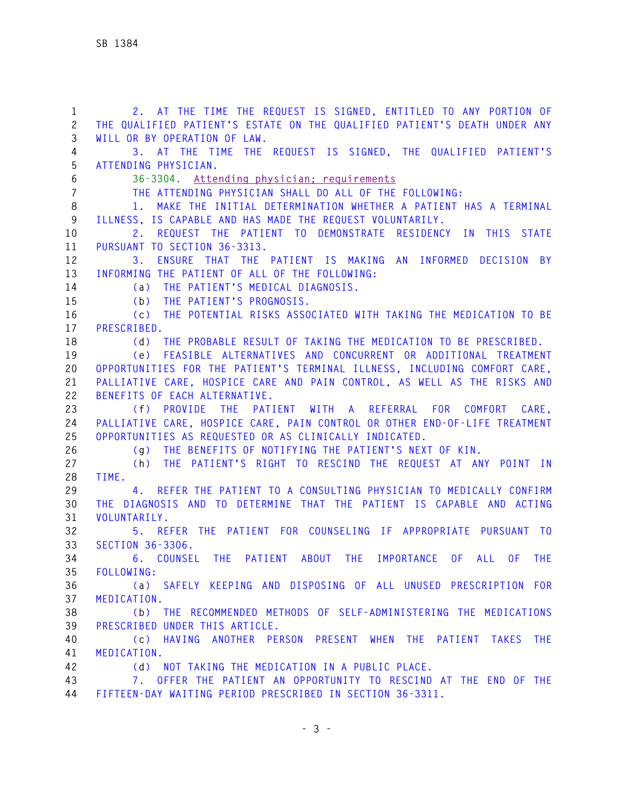**1 2. AT THE TIME THE REQUEST IS SIGNED, ENTITLED TO ANY PORTION OF 2 THE QUALIFIED PATIENT'S ESTATE ON THE QUALIFIED PATIENT'S DEATH UNDER ANY 3 WILL OR BY OPERATION OF LAW. 4 3. AT THE TIME THE REQUEST IS SIGNED, THE QUALIFIED PATIENT'S 5 ATTENDING PHYSICIAN. 6 36-3304. Attending physician; requirements 7 THE ATTENDING PHYSICIAN SHALL DO ALL OF THE FOLLOWING: 8 1. MAKE THE INITIAL DETERMINATION WHETHER A PATIENT HAS A TERMINAL 9 ILLNESS, IS CAPABLE AND HAS MADE THE REQUEST VOLUNTARILY. 10 2. REQUEST THE PATIENT TO DEMONSTRATE RESIDENCY IN THIS STATE 11 PURSUANT TO SECTION 36-3313. 12 3. ENSURE THAT THE PATIENT IS MAKING AN INFORMED DECISION BY 13 INFORMING THE PATIENT OF ALL OF THE FOLLOWING: 14 (a) THE PATIENT'S MEDICAL DIAGNOSIS. 15 (b) THE PATIENT'S PROGNOSIS. 16 (c) THE POTENTIAL RISKS ASSOCIATED WITH TAKING THE MEDICATION TO BE 17 PRESCRIBED. 18 (d) THE PROBABLE RESULT OF TAKING THE MEDICATION TO BE PRESCRIBED. 19 (e) FEASIBLE ALTERNATIVES AND CONCURRENT OR ADDITIONAL TREATMENT 20 OPPORTUNITIES FOR THE PATIENT'S TERMINAL ILLNESS, INCLUDING COMFORT CARE, 21 PALLIATIVE CARE, HOSPICE CARE AND PAIN CONTROL, AS WELL AS THE RISKS AND 22 BENEFITS OF EACH ALTERNATIVE. 23 (f) PROVIDE THE PATIENT WITH A REFERRAL FOR COMFORT CARE, 24 PALLIATIVE CARE, HOSPICE CARE, PAIN CONTROL OR OTHER END-OF-LIFE TREATMENT 25 OPPORTUNITIES AS REQUESTED OR AS CLINICALLY INDICATED. 26 (g) THE BENEFITS OF NOTIFYING THE PATIENT'S NEXT OF KIN. 27 (h) THE PATIENT'S RIGHT TO RESCIND THE REQUEST AT ANY POINT IN 28 TIME. 29 4. REFER THE PATIENT TO A CONSULTING PHYSICIAN TO MEDICALLY CONFIRM 30 THE DIAGNOSIS AND TO DETERMINE THAT THE PATIENT IS CAPABLE AND ACTING 31 VOLUNTARILY. 32 5. REFER THE PATIENT FOR COUNSELING IF APPROPRIATE PURSUANT TO 33 SECTION 36-3306. 34 6. COUNSEL THE PATIENT ABOUT THE IMPORTANCE OF ALL OF THE 35 FOLLOWING: 36 (a) SAFELY KEEPING AND DISPOSING OF ALL UNUSED PRESCRIPTION FOR 37 MEDICATION. 38 (b) THE RECOMMENDED METHODS OF SELF-ADMINISTERING THE MEDICATIONS 39 PRESCRIBED UNDER THIS ARTICLE. 40 (c) HAVING ANOTHER PERSON PRESENT WHEN THE PATIENT TAKES THE 41 MEDICATION. 42 (d) NOT TAKING THE MEDICATION IN A PUBLIC PLACE. 43 7. OFFER THE PATIENT AN OPPORTUNITY TO RESCIND AT THE END OF THE 44 FIFTEEN-DAY WAITING PERIOD PRESCRIBED IN SECTION 36-3311.**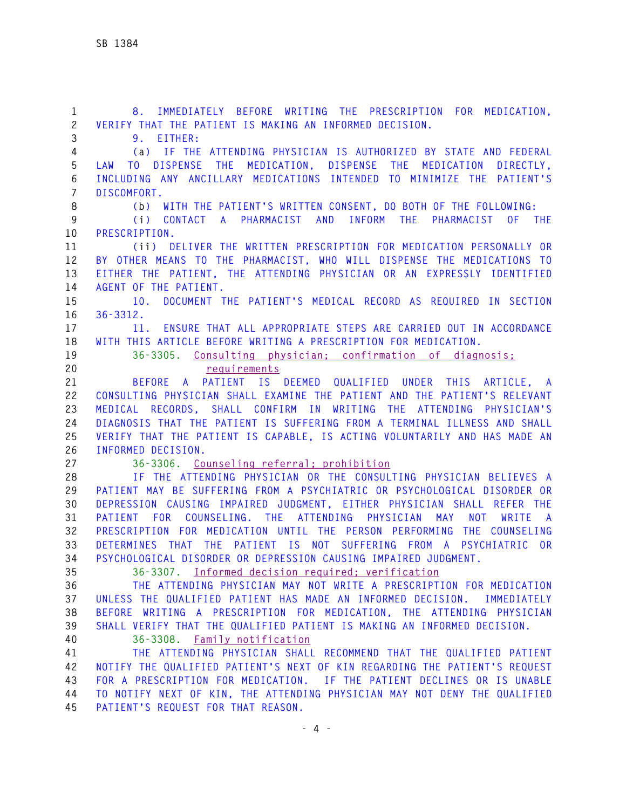**1 8. IMMEDIATELY BEFORE WRITING THE PRESCRIPTION FOR MEDICATION, 2 VERIFY THAT THE PATIENT IS MAKING AN INFORMED DECISION. 3 9. EITHER: 4 (a) IF THE ATTENDING PHYSICIAN IS AUTHORIZED BY STATE AND FEDERAL 5 LAW TO DISPENSE THE MEDICATION, DISPENSE THE MEDICATION DIRECTLY, 6 INCLUDING ANY ANCILLARY MEDICATIONS INTENDED TO MINIMIZE THE PATIENT'S 7 DISCOMFORT. 8 (b) WITH THE PATIENT'S WRITTEN CONSENT, DO BOTH OF THE FOLLOWING: 9 (i) CONTACT A PHARMACIST AND INFORM THE PHARMACIST OF THE 10 PRESCRIPTION. 11 (ii) DELIVER THE WRITTEN PRESCRIPTION FOR MEDICATION PERSONALLY OR 12 BY OTHER MEANS TO THE PHARMACIST, WHO WILL DISPENSE THE MEDICATIONS TO 13 EITHER THE PATIENT, THE ATTENDING PHYSICIAN OR AN EXPRESSLY IDENTIFIED 14 AGENT OF THE PATIENT. 15 10. DOCUMENT THE PATIENT'S MEDICAL RECORD AS REQUIRED IN SECTION 16 36-3312. 17 11. ENSURE THAT ALL APPROPRIATE STEPS ARE CARRIED OUT IN ACCORDANCE 18 WITH THIS ARTICLE BEFORE WRITING A PRESCRIPTION FOR MEDICATION. 19 36-3305. Consulting physician; confirmation of diagnosis; 20 requirements 21 BEFORE A PATIENT IS DEEMED QUALIFIED UNDER THIS ARTICLE, A 22 CONSULTING PHYSICIAN SHALL EXAMINE THE PATIENT AND THE PATIENT'S RELEVANT 23 MEDICAL RECORDS, SHALL CONFIRM IN WRITING THE ATTENDING PHYSICIAN'S 24 DIAGNOSIS THAT THE PATIENT IS SUFFERING FROM A TERMINAL ILLNESS AND SHALL 25 VERIFY THAT THE PATIENT IS CAPABLE, IS ACTING VOLUNTARILY AND HAS MADE AN 26 INFORMED DECISION. 27 36-3306. Counseling referral; prohibition 28 IF THE ATTENDING PHYSICIAN OR THE CONSULTING PHYSICIAN BELIEVES A 29 PATIENT MAY BE SUFFERING FROM A PSYCHIATRIC OR PSYCHOLOGICAL DISORDER OR 30 DEPRESSION CAUSING IMPAIRED JUDGMENT, EITHER PHYSICIAN SHALL REFER THE 31 PATIENT FOR COUNSELING. THE ATTENDING PHYSICIAN MAY NOT WRITE A 32 PRESCRIPTION FOR MEDICATION UNTIL THE PERSON PERFORMING THE COUNSELING 33 DETERMINES THAT THE PATIENT IS NOT SUFFERING FROM A PSYCHIATRIC OR 34 PSYCHOLOGICAL DISORDER OR DEPRESSION CAUSING IMPAIRED JUDGMENT. 35 36-3307. Informed decision required; verification 36 THE ATTENDING PHYSICIAN MAY NOT WRITE A PRESCRIPTION FOR MEDICATION 37 UNLESS THE QUALIFIED PATIENT HAS MADE AN INFORMED DECISION. IMMEDIATELY 38 BEFORE WRITING A PRESCRIPTION FOR MEDICATION, THE ATTENDING PHYSICIAN 39 SHALL VERIFY THAT THE QUALIFIED PATIENT IS MAKING AN INFORMED DECISION. 40 36-3308. Family notification 41 THE ATTENDING PHYSICIAN SHALL RECOMMEND THAT THE QUALIFIED PATIENT 42 NOTIFY THE QUALIFIED PATIENT'S NEXT OF KIN REGARDING THE PATIENT'S REQUEST 43 FOR A PRESCRIPTION FOR MEDICATION. IF THE PATIENT DECLINES OR IS UNABLE 44 TO NOTIFY NEXT OF KIN, THE ATTENDING PHYSICIAN MAY NOT DENY THE QUALIFIED 45 PATIENT'S REQUEST FOR THAT REASON.**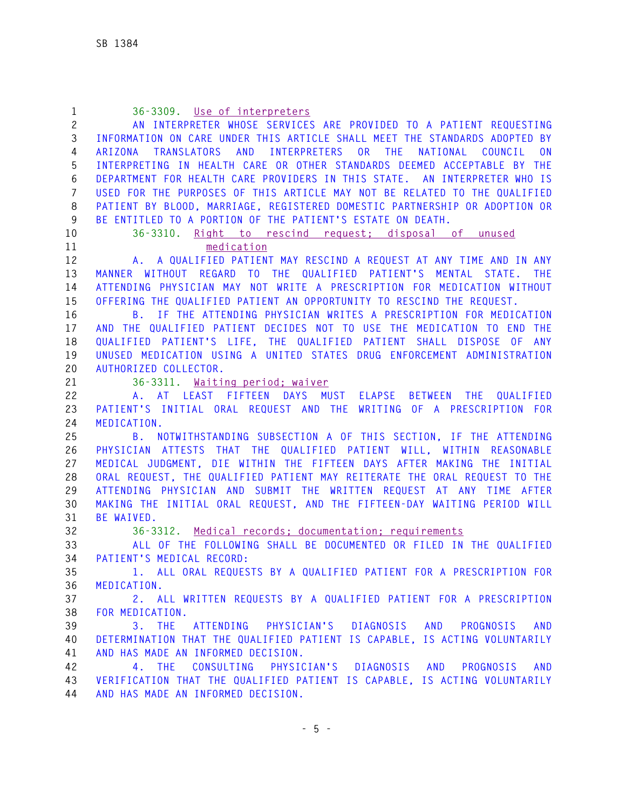| $\mathbf{1}$ | 36-3309. Use of interpreters                                                         |
|--------------|--------------------------------------------------------------------------------------|
| $\mathbf{2}$ | AN INTERPRETER WHOSE SERVICES ARE PROVIDED TO A PATIENT REQUESTING                   |
| 3            | INFORMATION ON CARE UNDER THIS ARTICLE SHALL MEET THE STANDARDS ADOPTED BY           |
| 4            | TRANSLATORS AND INTERPRETERS OR THE<br>NATIONAL COUNCIL<br>ARIZONA<br>0 <sub>N</sub> |
| 5            | INTERPRETING IN HEALTH CARE OR OTHER STANDARDS DEEMED ACCEPTABLE BY THE              |
| 6            | DEPARTMENT FOR HEALTH CARE PROVIDERS IN THIS STATE. AN INTERPRETER WHO IS            |
| 7            | USED FOR THE PURPOSES OF THIS ARTICLE MAY NOT BE RELATED TO THE QUALIFIED            |
| 8            | PATIENT BY BLOOD, MARRIAGE, REGISTERED DOMESTIC PARTNERSHIP OR ADOPTION OR           |
| 9            | BE ENTITLED TO A PORTION OF THE PATIENT'S ESTATE ON DEATH.                           |
| 10           | 36-3310. Right to rescind request: disposal of unused                                |
| 11           | medication                                                                           |
| 12           | A. A QUALIFIED PATIENT MAY RESCIND A REQUEST AT ANY TIME AND IN ANY                  |
| 13           | MANNER WITHOUT REGARD TO THE QUALIFIED PATIENT'S MENTAL STATE. THE                   |
| 14           | ATTENDING PHYSICIAN MAY NOT WRITE A PRESCRIPTION FOR MEDICATION WITHOUT              |
| 15           | OFFERING THE QUALIFIED PATIENT AN OPPORTUNITY TO RESCIND THE REQUEST.                |
| 16           | B. IF THE ATTENDING PHYSICIAN WRITES A PRESCRIPTION FOR MEDICATION                   |
| 17           | AND THE QUALIFIED PATIENT DECIDES NOT TO USE THE MEDICATION TO END THE               |
| 18           | QUALIFIED PATIENT'S LIFE, THE QUALIFIED PATIENT SHALL DISPOSE OF ANY                 |
| 19           | UNUSED MEDICATION USING A UNITED STATES DRUG ENFORCEMENT ADMINISTRATION              |
| 20           | AUTHORIZED COLLECTOR.                                                                |
| 21           | 36-3311. Waiting period: waiver                                                      |
| 22           | A. AT LEAST FIFTEEN DAYS MUST ELAPSE BETWEEN THE<br>QUALIFIED                        |
| 23           | PATIENT'S INITIAL ORAL REQUEST AND THE WRITING OF A PRESCRIPTION FOR                 |
| 24           | MEDICATION.                                                                          |
| 25           | B. NOTWITHSTANDING SUBSECTION A OF THIS SECTION, IF THE ATTENDING                    |
| 26           | PHYSICIAN ATTESTS THAT THE QUALIFIED PATIENT WILL, WITHIN REASONABLE                 |
| 27           | MEDICAL JUDGMENT, DIE WITHIN THE FIFTEEN DAYS AFTER MAKING THE INITIAL               |
| 28           | ORAL REQUEST, THE QUALIFIED PATIENT MAY REITERATE THE ORAL REQUEST TO THE            |
| 29           | ATTENDING PHYSICIAN AND SUBMIT THE WRITTEN REQUEST AT ANY TIME AFTER                 |
| 30           | MAKING THE INITIAL ORAL REQUEST, AND THE FIFTEEN-DAY WAITING PERIOD WILL             |
| 31           | BE WAIVED.                                                                           |
| 32           | 36-3312. Medical records: documentation: requirements                                |
| 33           | ALL OF THE FOLLOWING SHALL BE DOCUMENTED OR FILED IN THE OUALIFIED                   |
| 34           | PATIENT'S MEDICAL RECORD:                                                            |
| 35           | 1. ALL ORAL REQUESTS BY A QUALIFIED PATIENT FOR A PRESCRIPTION FOR                   |
| 36           | MEDICATION.                                                                          |
| 37           | 2. ALL WRITTEN REQUESTS BY A QUALIFIED PATIENT FOR A PRESCRIPTION                    |
| 38           | FOR MEDICATION.                                                                      |
| 39           | $3.$ THE<br>ATTENDING PHYSICIAN'S DIAGNOSIS AND PROGNOSIS<br>AND                     |
| 40           | DETERMINATION THAT THE QUALIFIED PATIENT IS CAPABLE, IS ACTING VOLUNTARILY           |
| 41           | AND HAS MADE AN INFORMED DECISION.                                                   |
| 42           | 4. THE CONSULTING PHYSICIAN'S DIAGNOSIS AND PROGNOSIS<br>AND                         |
| 43           | VERIFICATION THAT THE QUALIFIED PATIENT IS CAPABLE, IS ACTING VOLUNTARILY            |
| 44           | AND HAS MADE AN INFORMED DECISION.                                                   |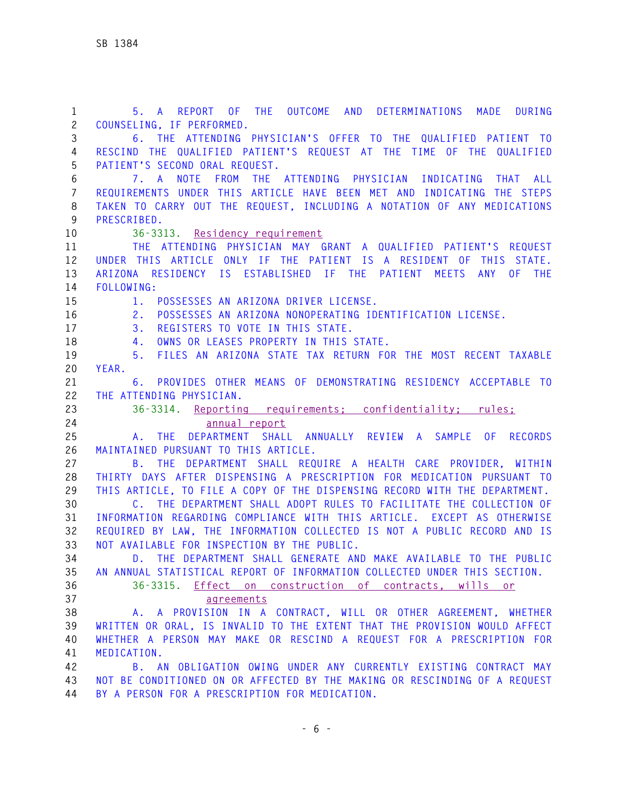**1 5. A REPORT OF THE OUTCOME AND DETERMINATIONS MADE DURING 2 COUNSELING, IF PERFORMED. 3 6. THE ATTENDING PHYSICIAN'S OFFER TO THE QUALIFIED PATIENT TO 4 RESCIND THE QUALIFIED PATIENT'S REQUEST AT THE TIME OF THE QUALIFIED 5 PATIENT'S SECOND ORAL REQUEST. 6 7. A NOTE FROM THE ATTENDING PHYSICIAN INDICATING THAT ALL 7 REQUIREMENTS UNDER THIS ARTICLE HAVE BEEN MET AND INDICATING THE STEPS 8 TAKEN TO CARRY OUT THE REQUEST, INCLUDING A NOTATION OF ANY MEDICATIONS 9 PRESCRIBED. 10 36-3313. Residency requirement 11 THE ATTENDING PHYSICIAN MAY GRANT A QUALIFIED PATIENT'S REQUEST 12 UNDER THIS ARTICLE ONLY IF THE PATIENT IS A RESIDENT OF THIS STATE. 13 ARIZONA RESIDENCY IS ESTABLISHED IF THE PATIENT MEETS ANY OF THE 14 FOLLOWING: 15 1. POSSESSES AN ARIZONA DRIVER LICENSE. 16 2. POSSESSES AN ARIZONA NONOPERATING IDENTIFICATION LICENSE. 17 3. REGISTERS TO VOTE IN THIS STATE. 18 4. OWNS OR LEASES PROPERTY IN THIS STATE. 19 5. FILES AN ARIZONA STATE TAX RETURN FOR THE MOST RECENT TAXABLE 20 YEAR. 21 6. PROVIDES OTHER MEANS OF DEMONSTRATING RESIDENCY ACCEPTABLE TO 22 THE ATTENDING PHYSICIAN. 23 36-3314. Reporting requirements; confidentiality; rules; 24 annual report 25 A. THE DEPARTMENT SHALL ANNUALLY REVIEW A SAMPLE OF RECORDS 26 MAINTAINED PURSUANT TO THIS ARTICLE. 27 B. THE DEPARTMENT SHALL REQUIRE A HEALTH CARE PROVIDER, WITHIN 28 THIRTY DAYS AFTER DISPENSING A PRESCRIPTION FOR MEDICATION PURSUANT TO 29 THIS ARTICLE, TO FILE A COPY OF THE DISPENSING RECORD WITH THE DEPARTMENT. 30 C. THE DEPARTMENT SHALL ADOPT RULES TO FACILITATE THE COLLECTION OF 31 INFORMATION REGARDING COMPLIANCE WITH THIS ARTICLE. EXCEPT AS OTHERWISE 32 REQUIRED BY LAW, THE INFORMATION COLLECTED IS NOT A PUBLIC RECORD AND IS 33 NOT AVAILABLE FOR INSPECTION BY THE PUBLIC. 34 D. THE DEPARTMENT SHALL GENERATE AND MAKE AVAILABLE TO THE PUBLIC 35 AN ANNUAL STATISTICAL REPORT OF INFORMATION COLLECTED UNDER THIS SECTION. 36 36-3315. Effect on construction of contracts, wills or 37 agreements 38 A. A PROVISION IN A CONTRACT, WILL OR OTHER AGREEMENT, WHETHER 39 WRITTEN OR ORAL, IS INVALID TO THE EXTENT THAT THE PROVISION WOULD AFFECT 40 WHETHER A PERSON MAY MAKE OR RESCIND A REQUEST FOR A PRESCRIPTION FOR 41 MEDICATION. 42 B. AN OBLIGATION OWING UNDER ANY CURRENTLY EXISTING CONTRACT MAY 43 NOT BE CONDITIONED ON OR AFFECTED BY THE MAKING OR RESCINDING OF A REQUEST 44 BY A PERSON FOR A PRESCRIPTION FOR MEDICATION.**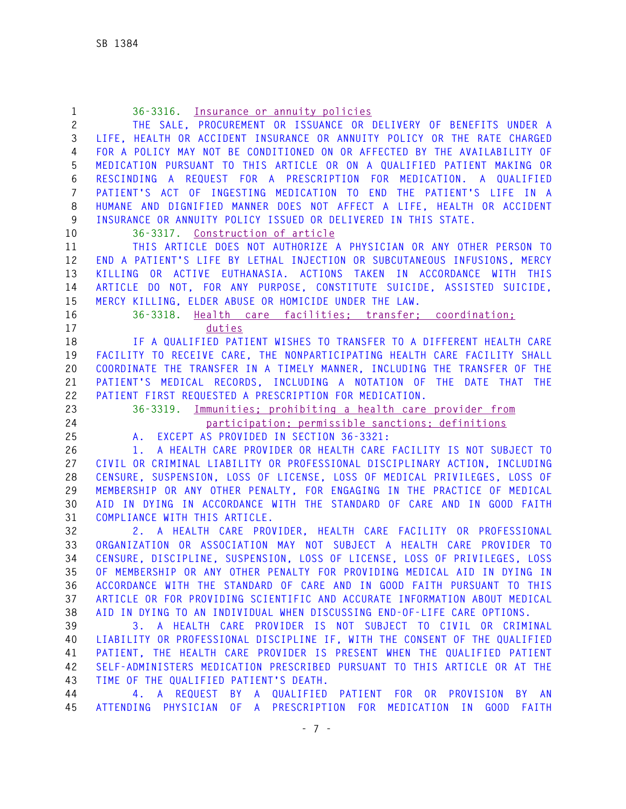| $\mathbf{1}$   | 36-3316. Insurance or annuity policies                                     |
|----------------|----------------------------------------------------------------------------|
| $\mathbf{2}$   | THE SALE, PROCUREMENT OR ISSUANCE OR DELIVERY OF BENEFITS UNDER A          |
| 3              | LIFE, HEALTH OR ACCIDENT INSURANCE OR ANNUITY POLICY OR THE RATE CHARGED   |
| 4              | FOR A POLICY MAY NOT BE CONDITIONED ON OR AFFECTED BY THE AVAILABILITY OF  |
| 5              | MEDICATION PURSUANT TO THIS ARTICLE OR ON A QUALIFIED PATIENT MAKING OR    |
| 6              | RESCINDING A REQUEST FOR A PRESCRIPTION FOR MEDICATION. A<br>QUALIFIED     |
| $\overline{7}$ | PATIENT'S ACT OF INGESTING MEDICATION TO END THE PATIENT'S LIFE IN A       |
| 8              | HUMANE AND DIGNIFIED MANNER DOES NOT AFFECT A LIFE, HEALTH OR ACCIDENT     |
| 9              | INSURANCE OR ANNUITY POLICY ISSUED OR DELIVERED IN THIS STATE.             |
| 10             | 36-3317. Construction of article                                           |
| 11             | THIS ARTICLE DOES NOT AUTHORIZE A PHYSICIAN OR ANY OTHER PERSON TO         |
| 12             | END A PATIENT'S LIFE BY LETHAL INJECTION OR SUBCUTANEOUS INFUSIONS, MERCY  |
| 13             | KILLING OR ACTIVE EUTHANASIA. ACTIONS TAKEN IN ACCORDANCE WITH THIS        |
| 14             | ARTICLE DO NOT, FOR ANY PURPOSE, CONSTITUTE SUICIDE, ASSISTED SUICIDE,     |
| 15             | MERCY KILLING, ELDER ABUSE OR HOMICIDE UNDER THE LAW.                      |
| 16             | 36-3318. Health care facilities; transfer; coordination;                   |
| 17             | duties                                                                     |
| 18             | IF A QUALIFIED PATIENT WISHES TO TRANSFER TO A DIFFERENT HEALTH CARE       |
| 19             | FACILITY TO RECEIVE CARE, THE NONPARTICIPATING HEALTH CARE FACILITY SHALL  |
| 20             | COORDINATE THE TRANSFER IN A TIMELY MANNER, INCLUDING THE TRANSFER OF THE  |
| 21             | PATIENT'S MEDICAL RECORDS, INCLUDING A NOTATION OF THE DATE THAT THE       |
| 22             | PATIENT FIRST REQUESTED A PRESCRIPTION FOR MEDICATION.                     |
| 23             | 36-3319. Immunities; prohibiting a health care provider from               |
| 24             | participation; permissible sanctions; definitions                          |
| 25             | A. EXCEPT AS PROVIDED IN SECTION 36-3321:                                  |
| 26             | A HEALTH CARE PROVIDER OR HEALTH CARE FACILITY IS NOT SUBJECT TO<br>1.     |
| 27             | CIVIL OR CRIMINAL LIABILITY OR PROFESSIONAL DISCIPLINARY ACTION, INCLUDING |
| 28             | CENSURE, SUSPENSION, LOSS OF LICENSE, LOSS OF MEDICAL PRIVILEGES, LOSS OF  |
| 29             | MEMBERSHIP OR ANY OTHER PENALTY, FOR ENGAGING IN THE PRACTICE OF MEDICAL   |
| 30             | AID IN DYING IN ACCORDANCE WITH THE STANDARD OF CARE AND IN GOOD FAITH     |
| 31             | COMPLIANCE WITH THIS ARTICLE.                                              |
| 32             | 2. A HEALTH CARE PROVIDER, HEALTH CARE FACILITY OR PROFESSIONAL            |
| 33             | ORGANIZATION OR ASSOCIATION MAY NOT SUBJECT A HEALTH CARE PROVIDER TO      |
| 34             | CENSURE, DISCIPLINE, SUSPENSION, LOSS OF LICENSE, LOSS OF PRIVILEGES, LOSS |
| 35             | OF MEMBERSHIP OR ANY OTHER PENALTY FOR PROVIDING MEDICAL AID IN DYING IN   |
| 36             | ACCORDANCE WITH THE STANDARD OF CARE AND IN GOOD FAITH PURSUANT TO THIS    |
| 37             | ARTICLE OR FOR PROVIDING SCIENTIFIC AND ACCURATE INFORMATION ABOUT MEDICAL |
| 38             | AID IN DYING TO AN INDIVIDUAL WHEN DISCUSSING END-OF-LIFE CARE OPTIONS.    |
| 39             | A HEALTH CARE PROVIDER IS NOT SUBJECT TO CIVIL OR CRIMINAL<br>3.           |
| 40             | LIABILITY OR PROFESSIONAL DISCIPLINE IF, WITH THE CONSENT OF THE QUALIFIED |
| 41             | PATIENT, THE HEALTH CARE PROVIDER IS PRESENT WHEN THE QUALIFIED PATIENT    |
| 42             | SELF-ADMINISTERS MEDICATION PRESCRIBED PURSUANT TO THIS ARTICLE OR AT THE  |
| 43             | TIME OF THE QUALIFIED PATIENT'S DEATH.                                     |
| 44             | 4. A REQUEST BY A QUALIFIED PATIENT FOR OR PROVISION<br>BY AN              |
| 45             | ATTENDING PHYSICIAN OF A PRESCRIPTION FOR MEDICATION IN<br>GOOD FAITH      |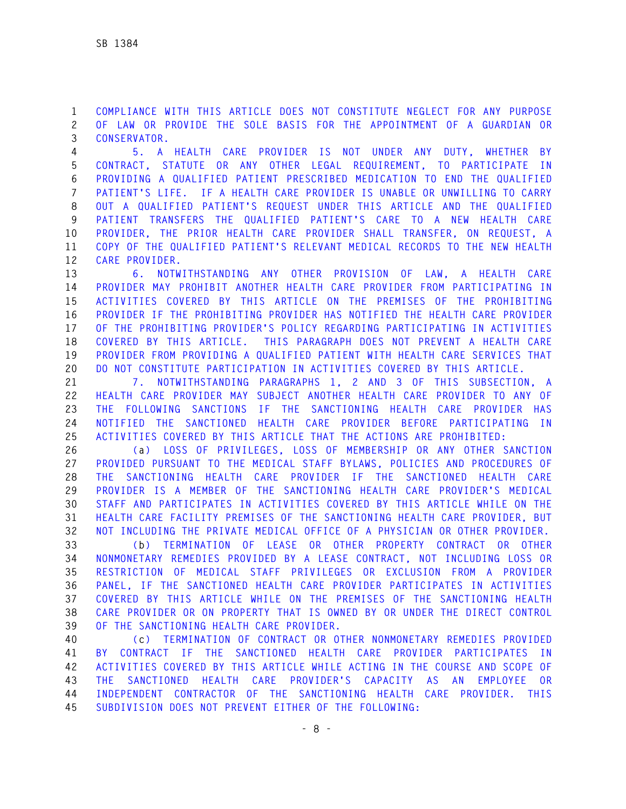**1 COMPLIANCE WITH THIS ARTICLE DOES NOT CONSTITUTE NEGLECT FOR ANY PURPOSE 2 OF LAW OR PROVIDE THE SOLE BASIS FOR THE APPOINTMENT OF A GUARDIAN OR 3 CONSERVATOR.** 

**4 5. A HEALTH CARE PROVIDER IS NOT UNDER ANY DUTY, WHETHER BY 5 CONTRACT, STATUTE OR ANY OTHER LEGAL REQUIREMENT, TO PARTICIPATE IN 6 PROVIDING A QUALIFIED PATIENT PRESCRIBED MEDICATION TO END THE QUALIFIED 7 PATIENT'S LIFE. IF A HEALTH CARE PROVIDER IS UNABLE OR UNWILLING TO CARRY 8 OUT A QUALIFIED PATIENT'S REQUEST UNDER THIS ARTICLE AND THE QUALIFIED 9 PATIENT TRANSFERS THE QUALIFIED PATIENT'S CARE TO A NEW HEALTH CARE 10 PROVIDER, THE PRIOR HEALTH CARE PROVIDER SHALL TRANSFER, ON REQUEST, A 11 COPY OF THE QUALIFIED PATIENT'S RELEVANT MEDICAL RECORDS TO THE NEW HEALTH 12 CARE PROVIDER.** 

**13 6. NOTWITHSTANDING ANY OTHER PROVISION OF LAW, A HEALTH CARE 14 PROVIDER MAY PROHIBIT ANOTHER HEALTH CARE PROVIDER FROM PARTICIPATING IN 15 ACTIVITIES COVERED BY THIS ARTICLE ON THE PREMISES OF THE PROHIBITING 16 PROVIDER IF THE PROHIBITING PROVIDER HAS NOTIFIED THE HEALTH CARE PROVIDER 17 OF THE PROHIBITING PROVIDER'S POLICY REGARDING PARTICIPATING IN ACTIVITIES 18 COVERED BY THIS ARTICLE. THIS PARAGRAPH DOES NOT PREVENT A HEALTH CARE 19 PROVIDER FROM PROVIDING A QUALIFIED PATIENT WITH HEALTH CARE SERVICES THAT 20 DO NOT CONSTITUTE PARTICIPATION IN ACTIVITIES COVERED BY THIS ARTICLE.** 

**21 7. NOTWITHSTANDING PARAGRAPHS 1, 2 AND 3 OF THIS SUBSECTION, A 22 HEALTH CARE PROVIDER MAY SUBJECT ANOTHER HEALTH CARE PROVIDER TO ANY OF 23 THE FOLLOWING SANCTIONS IF THE SANCTIONING HEALTH CARE PROVIDER HAS 24 NOTIFIED THE SANCTIONED HEALTH CARE PROVIDER BEFORE PARTICIPATING IN 25 ACTIVITIES COVERED BY THIS ARTICLE THAT THE ACTIONS ARE PROHIBITED:** 

**26 (a) LOSS OF PRIVILEGES, LOSS OF MEMBERSHIP OR ANY OTHER SANCTION 27 PROVIDED PURSUANT TO THE MEDICAL STAFF BYLAWS, POLICIES AND PROCEDURES OF 28 THE SANCTIONING HEALTH CARE PROVIDER IF THE SANCTIONED HEALTH CARE 29 PROVIDER IS A MEMBER OF THE SANCTIONING HEALTH CARE PROVIDER'S MEDICAL 30 STAFF AND PARTICIPATES IN ACTIVITIES COVERED BY THIS ARTICLE WHILE ON THE 31 HEALTH CARE FACILITY PREMISES OF THE SANCTIONING HEALTH CARE PROVIDER, BUT 32 NOT INCLUDING THE PRIVATE MEDICAL OFFICE OF A PHYSICIAN OR OTHER PROVIDER.** 

**33 (b) TERMINATION OF LEASE OR OTHER PROPERTY CONTRACT OR OTHER 34 NONMONETARY REMEDIES PROVIDED BY A LEASE CONTRACT, NOT INCLUDING LOSS OR 35 RESTRICTION OF MEDICAL STAFF PRIVILEGES OR EXCLUSION FROM A PROVIDER 36 PANEL, IF THE SANCTIONED HEALTH CARE PROVIDER PARTICIPATES IN ACTIVITIES 37 COVERED BY THIS ARTICLE WHILE ON THE PREMISES OF THE SANCTIONING HEALTH 38 CARE PROVIDER OR ON PROPERTY THAT IS OWNED BY OR UNDER THE DIRECT CONTROL 39 OF THE SANCTIONING HEALTH CARE PROVIDER.** 

**40 (c) TERMINATION OF CONTRACT OR OTHER NONMONETARY REMEDIES PROVIDED 41 BY CONTRACT IF THE SANCTIONED HEALTH CARE PROVIDER PARTICIPATES IN 42 ACTIVITIES COVERED BY THIS ARTICLE WHILE ACTING IN THE COURSE AND SCOPE OF 43 THE SANCTIONED HEALTH CARE PROVIDER'S CAPACITY AS AN EMPLOYEE OR 44 INDEPENDENT CONTRACTOR OF THE SANCTIONING HEALTH CARE PROVIDER. THIS 45 SUBDIVISION DOES NOT PREVENT EITHER OF THE FOLLOWING:**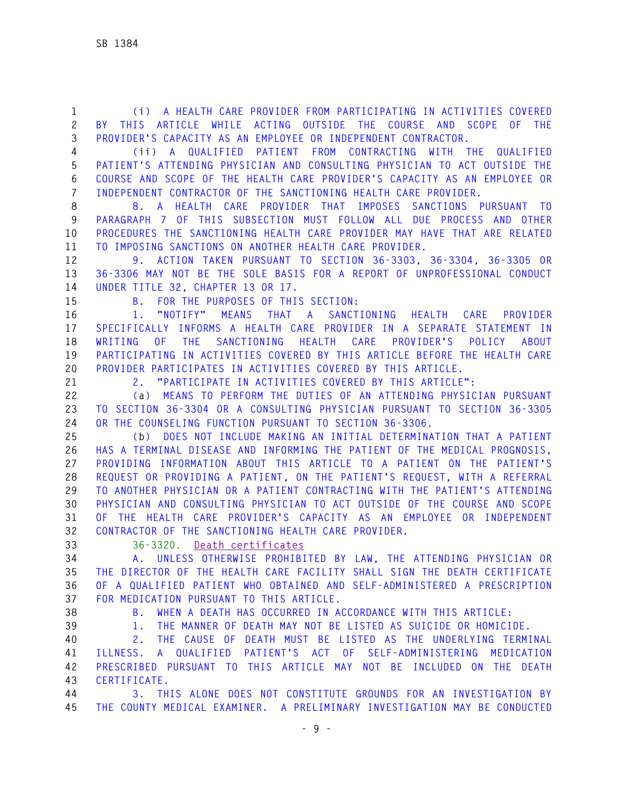**1 (i) A HEALTH CARE PROVIDER FROM PARTICIPATING IN ACTIVITIES COVERED 2 BY THIS ARTICLE WHILE ACTING OUTSIDE THE COURSE AND SCOPE OF THE 3 PROVIDER'S CAPACITY AS AN EMPLOYEE OR INDEPENDENT CONTRACTOR.** 

**4 (ii) A QUALIFIED PATIENT FROM CONTRACTING WITH THE QUALIFIED 5 PATIENT'S ATTENDING PHYSICIAN AND CONSULTING PHYSICIAN TO ACT OUTSIDE THE 6 COURSE AND SCOPE OF THE HEALTH CARE PROVIDER'S CAPACITY AS AN EMPLOYEE OR 7 INDEPENDENT CONTRACTOR OF THE SANCTIONING HEALTH CARE PROVIDER.** 

**8 8. A HEALTH CARE PROVIDER THAT IMPOSES SANCTIONS PURSUANT TO 9 PARAGRAPH 7 OF THIS SUBSECTION MUST FOLLOW ALL DUE PROCESS AND OTHER 10 PROCEDURES THE SANCTIONING HEALTH CARE PROVIDER MAY HAVE THAT ARE RELATED 11 TO IMPOSING SANCTIONS ON ANOTHER HEALTH CARE PROVIDER.** 

**12 9. ACTION TAKEN PURSUANT TO SECTION 36-3303, 36-3304, 36-3305 OR 13 36-3306 MAY NOT BE THE SOLE BASIS FOR A REPORT OF UNPROFESSIONAL CONDUCT 14 UNDER TITLE 32, CHAPTER 13 OR 17.** 

**15 B. FOR THE PURPOSES OF THIS SECTION:** 

**16 1. "NOTIFY" MEANS THAT A SANCTIONING HEALTH CARE PROVIDER 17 SPECIFICALLY INFORMS A HEALTH CARE PROVIDER IN A SEPARATE STATEMENT IN 18 WRITING OF THE SANCTIONING HEALTH CARE PROVIDER'S POLICY ABOUT 19 PARTICIPATING IN ACTIVITIES COVERED BY THIS ARTICLE BEFORE THE HEALTH CARE 20 PROVIDER PARTICIPATES IN ACTIVITIES COVERED BY THIS ARTICLE.** 

**21 2. "PARTICIPATE IN ACTIVITIES COVERED BY THIS ARTICLE":** 

**22 (a) MEANS TO PERFORM THE DUTIES OF AN ATTENDING PHYSICIAN PURSUANT 23 TO SECTION 36-3304 OR A CONSULTING PHYSICIAN PURSUANT TO SECTION 36-3305 24 OR THE COUNSELING FUNCTION PURSUANT TO SECTION 36-3306.** 

**25 (b) DOES NOT INCLUDE MAKING AN INITIAL DETERMINATION THAT A PATIENT 26 HAS A TERMINAL DISEASE AND INFORMING THE PATIENT OF THE MEDICAL PROGNOSIS, 27 PROVIDING INFORMATION ABOUT THIS ARTICLE TO A PATIENT ON THE PATIENT'S 28 REQUEST OR PROVIDING A PATIENT, ON THE PATIENT'S REQUEST, WITH A REFERRAL 29 TO ANOTHER PHYSICIAN OR A PATIENT CONTRACTING WITH THE PATIENT'S ATTENDING 30 PHYSICIAN AND CONSULTING PHYSICIAN TO ACT OUTSIDE OF THE COURSE AND SCOPE 31 OF THE HEALTH CARE PROVIDER'S CAPACITY AS AN EMPLOYEE OR INDEPENDENT 32 CONTRACTOR OF THE SANCTIONING HEALTH CARE PROVIDER.** 

**33 36-3320. Death certificates**

**34 A. UNLESS OTHERWISE PROHIBITED BY LAW, THE ATTENDING PHYSICIAN OR 35 THE DIRECTOR OF THE HEALTH CARE FACILITY SHALL SIGN THE DEATH CERTIFICATE 36 OF A QUALIFIED PATIENT WHO OBTAINED AND SELF-ADMINISTERED A PRESCRIPTION 37 FOR MEDICATION PURSUANT TO THIS ARTICLE.** 

**38 B. WHEN A DEATH HAS OCCURRED IN ACCORDANCE WITH THIS ARTICLE:** 

**39 1. THE MANNER OF DEATH MAY NOT BE LISTED AS SUICIDE OR HOMICIDE.** 

**40 2. THE CAUSE OF DEATH MUST BE LISTED AS THE UNDERLYING TERMINAL 41 ILLNESS. A QUALIFIED PATIENT'S ACT OF SELF-ADMINISTERING MEDICATION 42 PRESCRIBED PURSUANT TO THIS ARTICLE MAY NOT BE INCLUDED ON THE DEATH 43 CERTIFICATE.** 

**44 3. THIS ALONE DOES NOT CONSTITUTE GROUNDS FOR AN INVESTIGATION BY 45 THE COUNTY MEDICAL EXAMINER. A PRELIMINARY INVESTIGATION MAY BE CONDUCTED**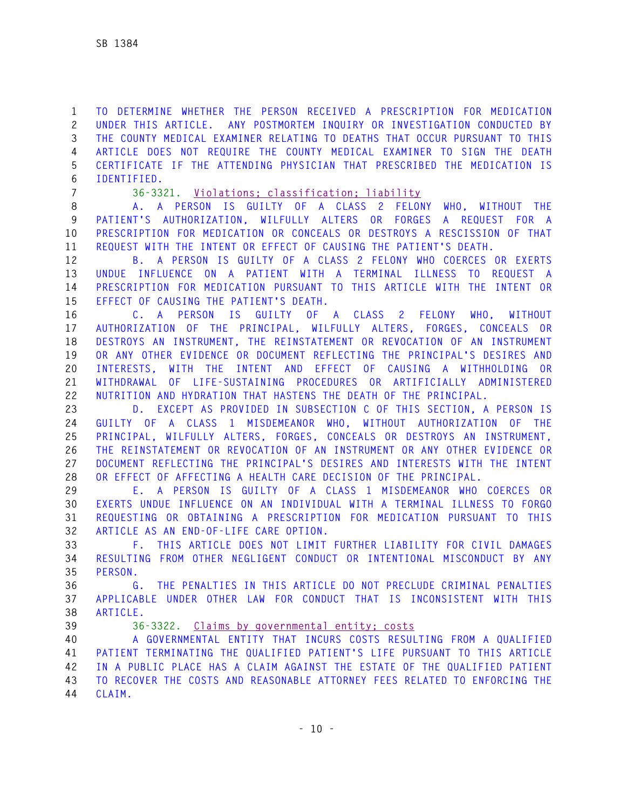**1 TO DETERMINE WHETHER THE PERSON RECEIVED A PRESCRIPTION FOR MEDICATION 2 UNDER THIS ARTICLE. ANY POSTMORTEM INQUIRY OR INVESTIGATION CONDUCTED BY 3 THE COUNTY MEDICAL EXAMINER RELATING TO DEATHS THAT OCCUR PURSUANT TO THIS 4 ARTICLE DOES NOT REQUIRE THE COUNTY MEDICAL EXAMINER TO SIGN THE DEATH 5 CERTIFICATE IF THE ATTENDING PHYSICIAN THAT PRESCRIBED THE MEDICATION IS 6 IDENTIFIED.** 

**7 36-3321. Violations; classification; liability**

**8 A. A PERSON IS GUILTY OF A CLASS 2 FELONY WHO, WITHOUT THE 9 PATIENT'S AUTHORIZATION, WILFULLY ALTERS OR FORGES A REQUEST FOR A 10 PRESCRIPTION FOR MEDICATION OR CONCEALS OR DESTROYS A RESCISSION OF THAT 11 REQUEST WITH THE INTENT OR EFFECT OF CAUSING THE PATIENT'S DEATH.** 

**12 B. A PERSON IS GUILTY OF A CLASS 2 FELONY WHO COERCES OR EXERTS 13 UNDUE INFLUENCE ON A PATIENT WITH A TERMINAL ILLNESS TO REQUEST A 14 PRESCRIPTION FOR MEDICATION PURSUANT TO THIS ARTICLE WITH THE INTENT OR 15 EFFECT OF CAUSING THE PATIENT'S DEATH.** 

**16 C. A PERSON IS GUILTY OF A CLASS 2 FELONY WHO, WITHOUT 17 AUTHORIZATION OF THE PRINCIPAL, WILFULLY ALTERS, FORGES, CONCEALS OR 18 DESTROYS AN INSTRUMENT, THE REINSTATEMENT OR REVOCATION OF AN INSTRUMENT 19 OR ANY OTHER EVIDENCE OR DOCUMENT REFLECTING THE PRINCIPAL'S DESIRES AND 20 INTERESTS, WITH THE INTENT AND EFFECT OF CAUSING A WITHHOLDING OR 21 WITHDRAWAL OF LIFE-SUSTAINING PROCEDURES OR ARTIFICIALLY ADMINISTERED 22 NUTRITION AND HYDRATION THAT HASTENS THE DEATH OF THE PRINCIPAL.** 

**23 D. EXCEPT AS PROVIDED IN SUBSECTION C OF THIS SECTION, A PERSON IS 24 GUILTY OF A CLASS 1 MISDEMEANOR WHO, WITHOUT AUTHORIZATION OF THE 25 PRINCIPAL, WILFULLY ALTERS, FORGES, CONCEALS OR DESTROYS AN INSTRUMENT, 26 THE REINSTATEMENT OR REVOCATION OF AN INSTRUMENT OR ANY OTHER EVIDENCE OR 27 DOCUMENT REFLECTING THE PRINCIPAL'S DESIRES AND INTERESTS WITH THE INTENT 28 OR EFFECT OF AFFECTING A HEALTH CARE DECISION OF THE PRINCIPAL.**

**29 E. A PERSON IS GUILTY OF A CLASS 1 MISDEMEANOR WHO COERCES OR 30 EXERTS UNDUE INFLUENCE ON AN INDIVIDUAL WITH A TERMINAL ILLNESS TO FORGO 31 REQUESTING OR OBTAINING A PRESCRIPTION FOR MEDICATION PURSUANT TO THIS 32 ARTICLE AS AN END-OF-LIFE CARE OPTION.** 

**33 F. THIS ARTICLE DOES NOT LIMIT FURTHER LIABILITY FOR CIVIL DAMAGES 34 RESULTING FROM OTHER NEGLIGENT CONDUCT OR INTENTIONAL MISCONDUCT BY ANY 35 PERSON.** 

**36 G. THE PENALTIES IN THIS ARTICLE DO NOT PRECLUDE CRIMINAL PENALTIES 37 APPLICABLE UNDER OTHER LAW FOR CONDUCT THAT IS INCONSISTENT WITH THIS 38 ARTICLE.** 

**39 36-3322. Claims by governmental entity; costs**

**40 A GOVERNMENTAL ENTITY THAT INCURS COSTS RESULTING FROM A QUALIFIED 41 PATIENT TERMINATING THE QUALIFIED PATIENT'S LIFE PURSUANT TO THIS ARTICLE 42 IN A PUBLIC PLACE HAS A CLAIM AGAINST THE ESTATE OF THE QUALIFIED PATIENT 43 TO RECOVER THE COSTS AND REASONABLE ATTORNEY FEES RELATED TO ENFORCING THE 44 CLAIM.**